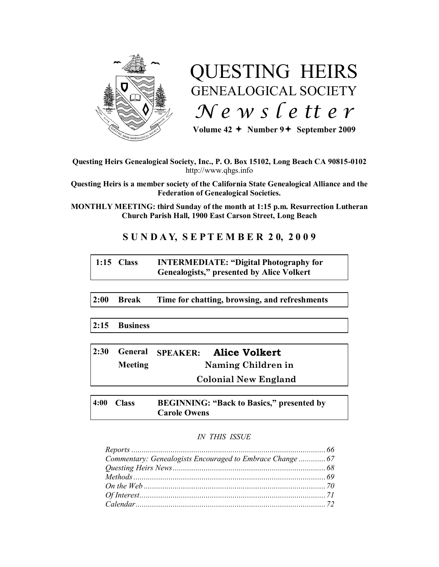

# QUESTING HEIRS GENEALOGICAL SOCIETY *N e w s l e tt e r*

Volume  $42 \div \text{Number } 9 \div \text{September } 2009$ 

# **Questing Heirs Genealogical Society, Inc., P. O. Box 15102, Long Beach CA 90815-0102** http://www.qhgs.info

**Questing Heirs is a member society of the California State Genealogical Alliance and the Federation of Genealogical Societies.**

**MONTHLY MEETING: third Sunday of the month at 1:15 p.m. Resurrection Lutheran Church Parish Hall, 1900 East Carson Street, Long Beach** 

# **S U N D A Y, S E P T E M B E R 2 0, 2 0 0 9**

# **1:15 Class INTERMEDIATE: "Digital Photography for Genealogists," presented by Alice Volkert**

**2:00 Break Time for chatting, browsing, and refreshments**

**2:15 Business**

| 2:30 |                | General SPEAKER: Alice Volkert |
|------|----------------|--------------------------------|
|      | <b>Meeting</b> | Naming Children in             |
|      |                | <b>Colonial New England</b>    |

**4:00 Class BEGINNING: "Back to Basics," presented by Carole Owens**

# *IN THIS ISSUE*

| Commentary: Genealogists Encouraged to Embrace Change  67 |  |
|-----------------------------------------------------------|--|
|                                                           |  |
|                                                           |  |
|                                                           |  |
|                                                           |  |
|                                                           |  |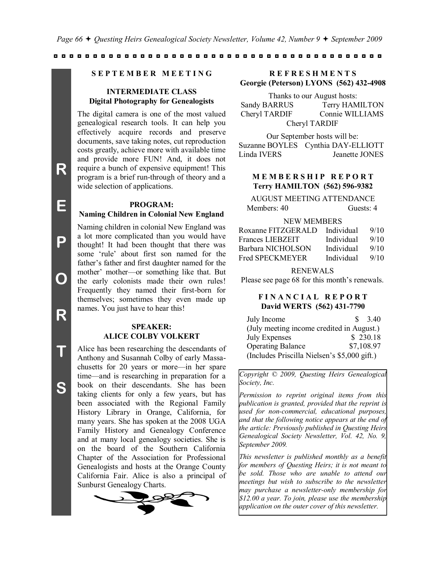#### **S E P T E M B E R M E E T I N G**

# **INTERMEDIATE CLASS Digital Photography for Genealogists**

The digital camera is one of the most valued genealogical research tools. It can help you effectively acquire records and preserve documents, save taking notes, cut reproduction costs greatly, achieve more with available time and provide more FUN! And, it does not require a bunch of expensive equipment! This program is a brief run-through of theory and a wide selection of applications.

## **PROGRAM:**

#### **Naming Children in Colonial New England**

Naming children in colonial New England was a lot more complicated than you would have thought! It had been thought that there was some "rule" about first son named for the father"s father and first daughter named for the mother' mother---or something like that. But the early colonists made their own rules! Frequently they named their first-born for themselves; sometimes they even made up names. You just have to hear this!

# **SPEAKER: ALICE COLBY VOLKERT**

Alice has been researching the descendants of Anthony and Susannah Colby of early Massachusetts for 20 years or more—in her spare time—and is researching in preparation for a book on their descendants. She has been taking clients for only a few years, but has been associated with the Regional Family History Library in Orange, California, for many years. She has spoken at the 2008 UGA Family History and Genealogy Conference and at many local genealogy societies. She is on the board of the Southern California Chapter of the Association for Professional Genealogists and hosts at the Orange County California Fair. Alice is also a principal of Sunburst Genealogy Charts.



# **R E F R E S H M E N T S Georgie (Peterson) LYONS (562) 432-4908**

Thanks to our August hosts:

Sandy BARRUS Terry HAMILTON Cheryl TARDIF Connie WILLIAMS Cheryl TARDIF

Our September hosts will be: Suzanne BOYLES Cynthia DAY-ELLIOTT Linda IVERS Jeanette JONES

# **MEMBERSHIP REPORT Terry HAMILTON (562) 596-9382**

AUGUST MEETING ATTENDANCE Members: 40 Guests: 4

#### NEW MEMBERS

| Roxanne FITZGERALD | Individual | 9/10 |
|--------------------|------------|------|
| Frances LIEBZEIT   | Individual | 9/10 |
| Barbara NICHOLSON  | Individual | 9/10 |
| Fred SPECKMEYER    | Individual | 9/10 |

#### RENEWALS

Please see page 68 for this month's renewals.

# **F I N A N C I A L R E P O R T David WERTS (562) 431-7790**

| July Income                                  | SS. | 3.40       |
|----------------------------------------------|-----|------------|
| (July meeting income credited in August.)    |     |            |
| <b>July Expenses</b>                         |     | \$230.18   |
| <b>Operating Balance</b>                     |     | \$7,108.97 |
| (Includes Priscilla Nielsen's \$5,000 gift.) |     |            |

*Copyright © 2009, Questing Heirs Genealogical Society, Inc.*

*Permission to reprint original items from this publication is granted, provided that the reprint is used for non-commercial, educational purposes, and that the following notice appears at the end of the article: Previously published in Questing Heirs Genealogical Society Newsletter, Vol. 42, No. 9, September 2009.*

*This newsletter is published monthly as a benefit for members of Questing Heirs; it is not meant to be sold. Those who are unable to attend our meetings but wish to subscribe to the newsletter may purchase a newsletter-only membership for \$12.00 a year. To join, please use the membership application on the outer cover of this newsletter.*

**P**

**O**

**R**

**T**

**S**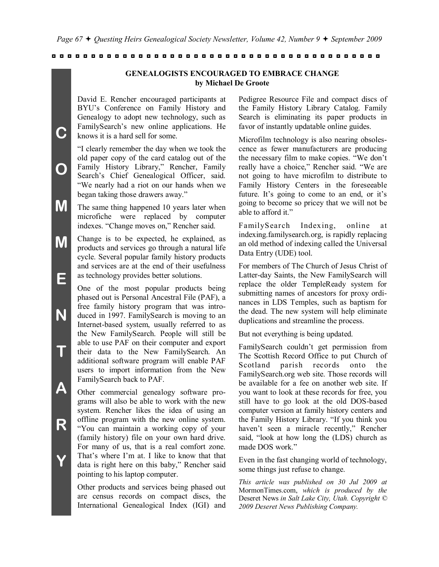# **GENEALOGISTS ENCOURAGED TO EMBRACE CHANGE by Michael De Groote**

David E. Rencher encouraged participants at BYU"s Conference on Family History and Genealogy to adopt new technology, such as FamilySearch"s new online applications. He knows it is a hard sell for some.

**C**

**O**

**N**

**T**

**A**

**R**

**Y**

"I clearly remember the day when we took the old paper copy of the card catalog out of the Family History Library," Rencher, Family Search"s Chief Genealogical Officer, said. "We nearly had a riot on our hands when we began taking those drawers away."

- **M** The same thing happened 10 years later when microfiche were replaced by computer indexes. "Change moves on," Rencher said.
- **M E** Change is to be expected, he explained, as products and services go through a natural life cycle. Several popular family history products and services are at the end of their usefulness as technology provides better solutions.

One of the most popular products being phased out is Personal Ancestral File (PAF), a free family history program that was introduced in 1997. FamilySearch is moving to an Internet-based system, usually referred to as the New FamilySearch. People will still be able to use PAF on their computer and export their data to the New FamilySearch. An additional software program will enable PAF users to import information from the New FamilySearch back to PAF.

Other commercial genealogy software programs will also be able to work with the new system. Rencher likes the idea of using an offline program with the new online system. "You can maintain a working copy of your (family history) file on your own hard drive. For many of us, that is a real comfort zone. That's where I'm at. I like to know that that data is right here on this baby," Rencher said pointing to his laptop computer.

Other products and services being phased out are census records on compact discs, the International Genealogical Index (IGI) and Pedigree Resource File and compact discs of the Family History Library Catalog. Family Search is eliminating its paper products in favor of instantly updatable online guides.

Microfilm technology is also nearing obsolescence as fewer manufacturers are producing the necessary film to make copies. "We don"t really have a choice," Rencher said. "We are not going to have microfilm to distribute to Family History Centers in the foreseeable future. It's going to come to an end, or it's going to become so pricey that we will not be able to afford it."

FamilySearch Indexing, online at indexing.familysearch.org, is rapidly replacing an old method of indexing called the Universal Data Entry (UDE) tool.

For members of The Church of Jesus Christ of Latter-day Saints, the New FamilySearch will replace the older TempleReady system for submitting names of ancestors for proxy ordinances in LDS Temples, such as baptism for the dead. The new system will help eliminate duplications and streamline the process.

But not everything is being updated.

FamilySearch couldn"t get permission from The Scottish Record Office to put Church of Scotland parish records onto the FamilySearch.org web site. Those records will be available for a fee on another web site. If you want to look at these records for free, you still have to go look at the old DOS-based computer version at family history centers and the Family History Library. "If you think you haven't seen a miracle recently," Rencher said, "look at how long the (LDS) church as made DOS work."

Even in the fast changing world of technology, some things just refuse to change.

*This article was published on 30 Jul 2009 at*  MormonTimes.com, *which is produced by the*  Deseret News *in Salt Lake City, Utah. Copyright © 2009 Deseret News Publishing Company.*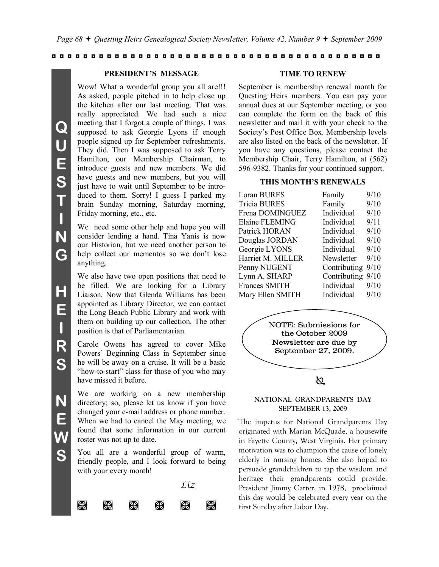#### **PRESIDENT'S MESSAGE**

Wow! What a wonderful group you all are!!! As asked, people pitched in to help close up the kitchen after our last meeting. That was really appreciated. We had such a nice meeting that I forgot a couple of things. I was supposed to ask Georgie Lyons if enough people signed up for September refreshments. They did. Then I was supposed to ask Terry Hamilton, our Membership Chairman, to introduce guests and new members. We did have guests and new members, but you will just have to wait until September to be introduced to them. Sorry! I guess I parked my brain Sunday morning, Saturday morning, Friday morning, etc., etc.

We need some other help and hope you will consider lending a hand. Tina Yanis is now our Historian, but we need another person to help collect our mementos so we don"t lose anything.

We also have two open positions that need to be filled. We are looking for a Library Liaison. Now that Glenda Williams has been appointed as Library Director, we can contact the Long Beach Public Library and work with them on building up our collection. The other position is that of Parliamentarian.

Carole Owens has agreed to cover Mike Powers" Beginning Class in September since he will be away on a cruise. It will be a basic "how-to-start" class for those of you who may have missed it before.

We are working on a new membership directory; so, please let us know if you have changed your e-mail address or phone number. When we had to cancel the May meeting, we found that some information in our current roster was not up to date.

You all are a wonderful group of warm, friendly people, and I look forward to being with your every month!



#### **TIME TO RENEW**

September is membership renewal month for Questing Heirs members. You can pay your annual dues at our September meeting, or you can complete the form on the back of this newsletter and mail it with your check to the Society"s Post Office Box. Membership levels are also listed on the back of the newsletter. If you have any questions, please contact the Membership Chair, Terry Hamilton, at (562) 596-9382. Thanks for your continued support.

## **THIS MONTH'S RENEWALS**

| <b>Loran BURES</b>   | Family       | 9/10 |
|----------------------|--------------|------|
| <b>Tricia BURES</b>  | Family       | 9/10 |
| Frena DOMINGUEZ      | Individual   | 9/10 |
| Elaine FLEMING       | Individual   | 9/11 |
| Patrick HORAN        | Individual   | 9/10 |
| Douglas JORDAN       | Individual   | 9/10 |
| Georgie LYONS        | Individual   | 9/10 |
| Harriet M. MILLER    | Newsletter   | 9/10 |
| Penny NUGENT         | Contributing | 9/10 |
| Lynn A. SHARP        | Contributing | 9/10 |
| <b>Frances SMITH</b> | Individual   | 9/10 |
| Mary Ellen SMITH     | Individual   | 9/10 |
|                      |              |      |

NOTE: Submissions for the October 2009 Newsletter are due by September 27, 2009.

# $\infty$

#### **NATIONAL GRANDPARENTS DAY SEPTEMBER 13, 2009**

The impetus for National Grandparents Day originated with Marian McQuade, a housewife in Fayette County, West Virginia. Her primary motivation was to champion the cause of lonely elderly in nursing homes. She also hoped to persuade grandchildren to tap the wisdom and heritage their grandparents could provide. President Jimmy Carter, in 1978, proclaimed this day would be celebrated every year on the first Sunday after Labor Day.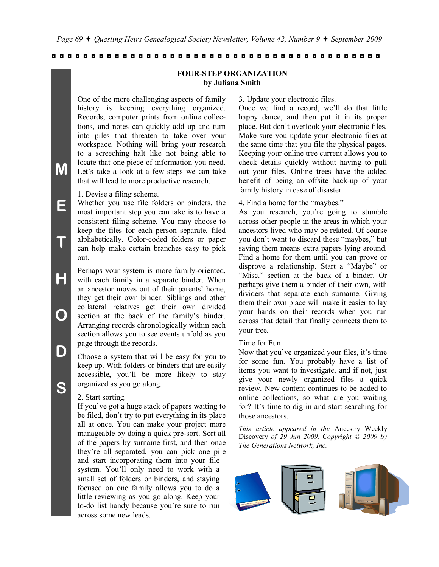## **FOUR-STEP ORGANIZATION by Juliana Smith**

One of the more challenging aspects of family history is keeping everything organized. Records, computer prints from online collections, and notes can quickly add up and turn into piles that threaten to take over your workspace. Nothing will bring your research to a screeching halt like not being able to locate that one piece of information you need. Let's take a look at a few steps we can take that will lead to more productive research.

1. Devise a filing scheme.

**M**

**E**

**T**

**H**

**O**

**D**

**S**

Whether you use file folders or binders, the most important step you can take is to have a consistent filing scheme. You may choose to keep the files for each person separate, filed alphabetically. Color-coded folders or paper can help make certain branches easy to pick out.

Perhaps your system is more family-oriented, with each family in a separate binder. When an ancestor moves out of their parents' home. they get their own binder. Siblings and other collateral relatives get their own divided section at the back of the family's binder. Arranging records chronologically within each section allows you to see events unfold as you page through the records.

Choose a system that will be easy for you to keep up. With folders or binders that are easily accessible, you"ll be more likely to stay organized as you go along.

#### 2. Start sorting.

If you"ve got a huge stack of papers waiting to be filed, don"t try to put everything in its place all at once. You can make your project more manageable by doing a quick pre-sort. Sort all of the papers by surname first, and then once they"re all separated, you can pick one pile and start incorporating them into your file system. You"ll only need to work with a small set of folders or binders, and staying focused on one family allows you to do a little reviewing as you go along. Keep your to-do list handy because you"re sure to run across some new leads.

3. Update your electronic files.

Once we find a record, we"ll do that little happy dance, and then put it in its proper place. But don"t overlook your electronic files. Make sure you update your electronic files at the same time that you file the physical pages. Keeping your online tree current allows you to check details quickly without having to pull out your files. Online trees have the added benefit of being an offsite back-up of your family history in case of disaster.

4. Find a home for the "maybes."

As you research, you"re going to stumble across other people in the areas in which your ancestors lived who may be related. Of course you don"t want to discard these "maybes," but saving them means extra papers lying around. Find a home for them until you can prove or disprove a relationship. Start a "Maybe" or "Misc." section at the back of a binder. Or perhaps give them a binder of their own, with dividers that separate each surname. Giving them their own place will make it easier to lay your hands on their records when you run across that detail that finally connects them to your tree.

#### Time for Fun

Now that you've organized your files, it's time for some fun. You probably have a list of items you want to investigate, and if not, just give your newly organized files a quick review. New content continues to be added to online collections, so what are you waiting for? It's time to dig in and start searching for those ancestors.

*This article appeared in the* Ancestry Weekly Discovery *of 29 Jun 2009. Copyright © 2009 by The Generations Network, Inc.*

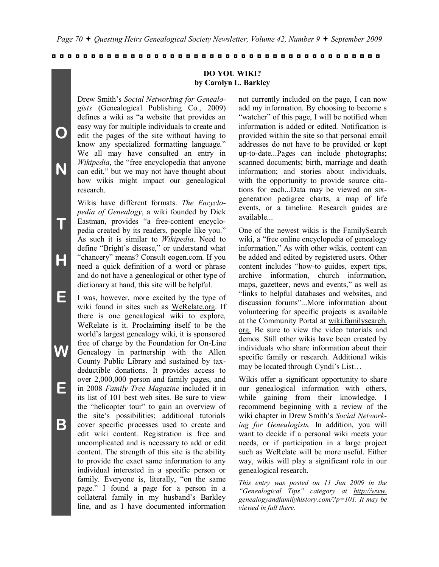## **DO YOU WIKI? by Carolyn L. Barkley**

Drew Smith"s *Social Networking for Genealogists* (Genealogical Publishing Co., 2009) defines a wiki as "a website that provides an easy way for multiple individuals to create and edit the pages of the site without having to know any specialized formatting language." We all may have consulted an entry in *Wikipedia*, the "free encyclopedia that anyone can edit," but we may not have thought about how wikis might impact our genealogical research.

**O**

**N**

**T**

**H**

**E**

**W**

**E**

**B**

Wikis have different formats. *The Encyclopedia of Genealogy*, a wiki founded by Dick Eastman, provides "a free-content encyclopedia created by its readers, people like you." As such it is similar to *Wikipedia*. Need to define "Bright's disease," or understand what "chancery" means? Consult eogen.com. If you need a quick definition of a word or phrase and do not have a genealogical or other type of dictionary at hand, this site will be helpful.

I was, however, more excited by the type of wiki found in sites such as WeRelate.org. If there is one genealogical wiki to explore, WeRelate is it. Proclaiming itself to be the world"s largest genealogy wiki, it is sponsored free of charge by the Foundation for On-Line Genealogy in partnership with the Allen County Public Library and sustained by taxdeductible donations. It provides access to over 2,000,000 person and family pages, and in 2008 *Family Tree Magazine* included it in its list of 101 best web sites. Be sure to view the "helicopter tour" to gain an overview of the site"s possibilities; additional tutorials cover specific processes used to create and edit wiki content. Registration is free and uncomplicated and is necessary to add or edit content. The strength of this site is the ability to provide the exact same information to any individual interested in a specific person or family. Everyone is, literally, "on the same page." I found a page for a person in a collateral family in my husband"s Barkley line, and as I have documented information not currently included on the page, I can now add my information. By choosing to become s "watcher" of this page, I will be notified when information is added or edited. Notification is provided within the site so that personal email addresses do not have to be provided or kept up-to-date...Pages can include photographs; scanned documents; birth, marriage and death information; and stories about individuals, with the opportunity to provide source citations for each...Data may be viewed on sixgeneration pedigree charts, a map of life events, or a timeline. Research guides are available...

One of the newest wikis is the FamilySearch wiki, a "free online encyclopedia of genealogy information." As with other wikis, content can be added and edited by registered users. Other content includes "how-to guides, expert tips, archive information, church information, maps, gazetteer, news and events," as well as "links to helpful databases and websites, and discussion forums"...More information about volunteering for specific projects is available at the Community Portal at wiki.familysearch. org. Be sure to view the video tutorials and demos. Still other wikis have been created by individuals who share information about their specific family or research. Additional wikis may be located through Cyndi"s List…

Wikis offer a significant opportunity to share our genealogical information with others, while gaining from their knowledge. I recommend beginning with a review of the wiki chapter in Drew Smith"s *Social Networking for Genealogists.* In addition, you will want to decide if a personal wiki meets your needs, or if participation in a large project such as WeRelate will be more useful. Either way, wikis will play a significant role in our genealogical research.

*This entry was posted on 11 Jun 2009 in the "Genealogical Tips" category at http://www. genealogyandfamilyhistory.com/?p=101. It may be viewed in full there.*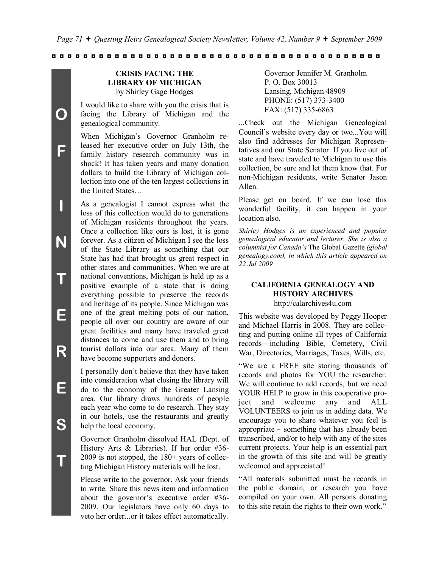# **CRISIS FACING THE LIBRARY OF MICHIGAN** by Shirley Gage Hodges

I would like to share with you the crisis that is facing the Library of Michigan and the genealogical community.

When Michigan"s Governor Granholm released her executive order on July 13th, the family history research community was in shock! It has taken years and many donation dollars to build the Library of Michigan collection into one of the ten largest collections in the United States…

As a genealogist I cannot express what the loss of this collection would do to generations of Michigan residents throughout the years. Once a collection like ours is lost, it is gone forever. As a citizen of Michigan I see the loss of the State Library as something that our State has had that brought us great respect in other states and communities. When we are at national conventions, Michigan is held up as a positive example of a state that is doing everything possible to preserve the records and heritage of its people. Since Michigan was one of the great melting pots of our nation, people all over our country are aware of our great facilities and many have traveled great distances to come and use them and to bring tourist dollars into our area. Many of them have become supporters and donors.

I personally don"t believe that they have taken into consideration what closing the library will do to the economy of the Greater Lansing area. Our library draws hundreds of people each year who come to do research. They stay in our hotels, use the restaurants and greatly help the local economy.

Governor Granholm dissolved HAL (Dept. of History Arts & Libraries). If her order #36- 2009 is not stopped, the 180+ years of collecting Michigan History materials will be lost.

Please write to the governor. Ask your friends to write. Share this news item and information about the governor's executive order #36-2009. Our legislators have only 60 days to veto her order...or it takes effect automatically.

Governor Jennifer M. Granholm P. O. Box 30013 Lansing, Michigan 48909 PHONE: (517) 373-3400 FAX: (517) 335-6863

...Check out the Michigan Genealogical Council"s website every day or two...You will also find addresses for Michigan Representatives and our State Senator. If you live out of state and have traveled to Michigan to use this collection, be sure and let them know that. For non-Michigan residents, write Senator Jason Allen.

Please get on board. If we can lose this wonderful facility, it can happen in your location also.

*Shirley Hodges is an experienced and popular genealogical educator and lecturer. She is also a columnist for Canada's* The Global Gazette *(global genealogy.com), in which this article appeared on 22 Jul 2009.*

# **CALIFORNIA GENEALOGY AND HISTORY ARCHIVES**

http://calarchives4u.com

This website was developed by Peggy Hooper and Michael Harris in 2008. They are collecting and putting online all types of California records—including Bible, Cemetery, Civil War, Directories, Marriages, Taxes, Wills, etc.

"We are a FREE site storing thousands of records and photos for YOU the researcher. We will continue to add records, but we need YOUR HELP to grow in this cooperative project and welcome any and ALL VOLUNTEERS to join us in adding data. We encourage you to share whatever you feel is appropriate  $\sim$  something that has already been transcribed, and/or to help with any of the sites current projects. Your help is an essential part in the growth of this site and will be greatly welcomed and appreciated!

"All materials submitted must be records in the public domain, or research you have compiled on your own. All persons donating to this site retain the rights to their own work."